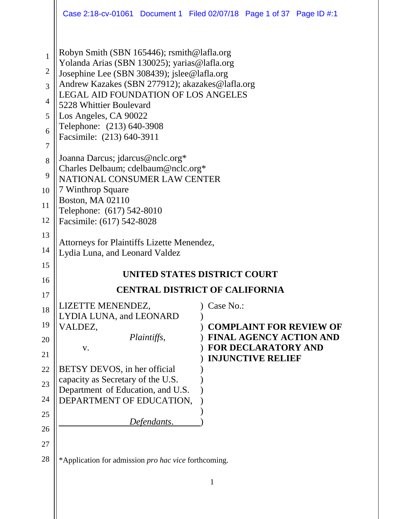|                                                                                                     | Case 2:18-cv-01061 Document 1 Filed 02/07/18 Page 1 of 37 Page ID #:1                                                                                                                                                                                                                                                                                                                                                        |              |                                                              |                                |  |  |
|-----------------------------------------------------------------------------------------------------|------------------------------------------------------------------------------------------------------------------------------------------------------------------------------------------------------------------------------------------------------------------------------------------------------------------------------------------------------------------------------------------------------------------------------|--------------|--------------------------------------------------------------|--------------------------------|--|--|
| $\mathbf{1}$<br>$\overline{2}$<br>$\overline{3}$<br>$\overline{4}$<br>5<br>6<br>$\overline{7}$<br>8 | Robyn Smith (SBN 165446); rsmith@lafla.org<br>Yolanda Arias (SBN 130025); yarias@lafla.org<br>Josephine Lee (SBN 308439); jslee@lafla.org<br>Andrew Kazakes (SBN 277912); akazakes@lafla.org<br>LEGAL AID FOUNDATION OF LOS ANGELES<br>5228 Whittier Boulevard<br>Los Angeles, CA 90022<br>Telephone: (213) 640-3908<br>Facsimile: (213) 640-3911<br>Joanna Darcus; jdarcus@nclc.org*<br>Charles Delbaum; cdelbaum@nclc.org* |              |                                                              |                                |  |  |
| 9<br>10                                                                                             | NATIONAL CONSUMER LAW CENTER                                                                                                                                                                                                                                                                                                                                                                                                 |              |                                                              |                                |  |  |
| 11                                                                                                  | 7 Winthrop Square<br><b>Boston, MA 02110</b>                                                                                                                                                                                                                                                                                                                                                                                 |              |                                                              |                                |  |  |
| 12                                                                                                  | Telephone: (617) 542-8010<br>Facsimile: (617) 542-8028                                                                                                                                                                                                                                                                                                                                                                       |              |                                                              |                                |  |  |
| 13<br>14<br>15<br>16                                                                                | Attorneys for Plaintiffs Lizette Menendez,<br>Lydia Luna, and Leonard Valdez<br>UNITED STATES DISTRICT COURT                                                                                                                                                                                                                                                                                                                 |              |                                                              |                                |  |  |
| 17                                                                                                  | <b>CENTRAL DISTRICT OF CALIFORNIA</b>                                                                                                                                                                                                                                                                                                                                                                                        |              |                                                              |                                |  |  |
| 18                                                                                                  | LIZETTE MENENDEZ,                                                                                                                                                                                                                                                                                                                                                                                                            | Case No.:    |                                                              |                                |  |  |
| 19                                                                                                  | LYDIA LUNA, and LEONARD<br>VALDEZ,                                                                                                                                                                                                                                                                                                                                                                                           |              |                                                              | <b>COMPLAINT FOR REVIEW OF</b> |  |  |
| 20                                                                                                  | Plaintiffs,<br>V.                                                                                                                                                                                                                                                                                                                                                                                                            |              | <b>FINAL AGENCY ACTION AND</b><br><b>FOR DECLARATORY AND</b> |                                |  |  |
| 21                                                                                                  |                                                                                                                                                                                                                                                                                                                                                                                                                              |              | <b>INJUNCTIVE RELIEF</b>                                     |                                |  |  |
| 22<br>23                                                                                            | BETSY DEVOS, in her official<br>capacity as Secretary of the U.S.                                                                                                                                                                                                                                                                                                                                                            |              |                                                              |                                |  |  |
| 24                                                                                                  | Department of Education, and U.S.<br>DEPARTMENT OF EDUCATION,                                                                                                                                                                                                                                                                                                                                                                |              |                                                              |                                |  |  |
| 25                                                                                                  |                                                                                                                                                                                                                                                                                                                                                                                                                              |              |                                                              |                                |  |  |
| 26                                                                                                  | Defendants.                                                                                                                                                                                                                                                                                                                                                                                                                  |              |                                                              |                                |  |  |
| 27                                                                                                  |                                                                                                                                                                                                                                                                                                                                                                                                                              |              |                                                              |                                |  |  |
| 28                                                                                                  | *Application for admission pro hac vice forthcoming.                                                                                                                                                                                                                                                                                                                                                                         |              |                                                              |                                |  |  |
|                                                                                                     |                                                                                                                                                                                                                                                                                                                                                                                                                              | $\mathbf{1}$ |                                                              |                                |  |  |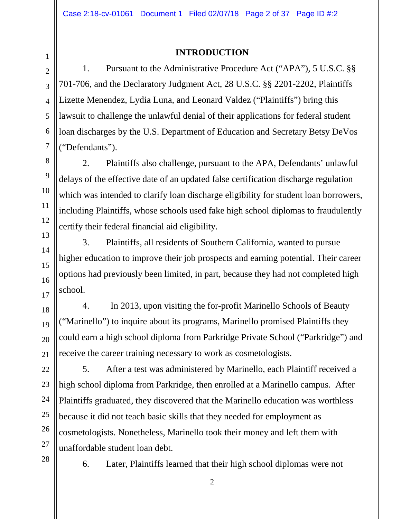### **INTRODUCTION**

1. Pursuant to the Administrative Procedure Act ("APA"), 5 U.S.C. §§ 701-706, and the Declaratory Judgment Act, 28 U.S.C. §§ 2201-2202, Plaintiffs Lizette Menendez, Lydia Luna, and Leonard Valdez ("Plaintiffs") bring this lawsuit to challenge the unlawful denial of their applications for federal student loan discharges by the U.S. Department of Education and Secretary Betsy DeVos ("Defendants").

2. Plaintiffs also challenge, pursuant to the APA, Defendants' unlawful delays of the effective date of an updated false certification discharge regulation which was intended to clarify loan discharge eligibility for student loan borrowers, including Plaintiffs, whose schools used fake high school diplomas to fraudulently certify their federal financial aid eligibility.

3. Plaintiffs, all residents of Southern California, wanted to pursue higher education to improve their job prospects and earning potential. Their career options had previously been limited, in part, because they had not completed high school.

4. In 2013, upon visiting the for-profit Marinello Schools of Beauty ("Marinello") to inquire about its programs, Marinello promised Plaintiffs they could earn a high school diploma from Parkridge Private School ("Parkridge") and receive the career training necessary to work as cosmetologists.

5. After a test was administered by Marinello, each Plaintiff received a high school diploma from Parkridge, then enrolled at a Marinello campus. After Plaintiffs graduated, they discovered that the Marinello education was worthless because it did not teach basic skills that they needed for employment as cosmetologists. Nonetheless, Marinello took their money and left them with unaffordable student loan debt.

6. Later, Plaintiffs learned that their high school diplomas were not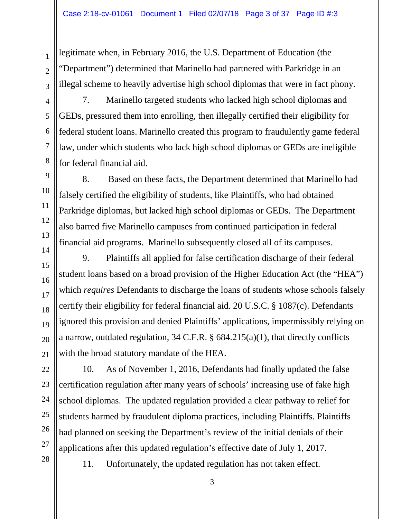legitimate when, in February 2016, the U.S. Department of Education (the "Department") determined that Marinello had partnered with Parkridge in an illegal scheme to heavily advertise high school diplomas that were in fact phony.

7. Marinello targeted students who lacked high school diplomas and GEDs, pressured them into enrolling, then illegally certified their eligibility for federal student loans. Marinello created this program to fraudulently game federal law, under which students who lack high school diplomas or GEDs are ineligible for federal financial aid.

8. Based on these facts, the Department determined that Marinello had falsely certified the eligibility of students, like Plaintiffs, who had obtained Parkridge diplomas, but lacked high school diplomas or GEDs. The Department also barred five Marinello campuses from continued participation in federal financial aid programs. Marinello subsequently closed all of its campuses.

9. Plaintiffs all applied for false certification discharge of their federal student loans based on a broad provision of the Higher Education Act (the "HEA") which *requires* Defendants to discharge the loans of students whose schools falsely certify their eligibility for federal financial aid. 20 U.S.C. § 1087(c). Defendants ignored this provision and denied Plaintiffs' applications, impermissibly relying on a narrow, outdated regulation, 34 C.F.R. § 684.215(a)(1), that directly conflicts with the broad statutory mandate of the HEA.

10. As of November 1, 2016, Defendants had finally updated the false certification regulation after many years of schools' increasing use of fake high school diplomas. The updated regulation provided a clear pathway to relief for students harmed by fraudulent diploma practices, including Plaintiffs. Plaintiffs had planned on seeking the Department's review of the initial denials of their applications after this updated regulation's effective date of July 1, 2017.

28

1

2

3

4

5

6

7

8

9

10

11

12

13

14

15

16

17

18

19

20

21

22

23

24

25

26

27

11. Unfortunately, the updated regulation has not taken effect.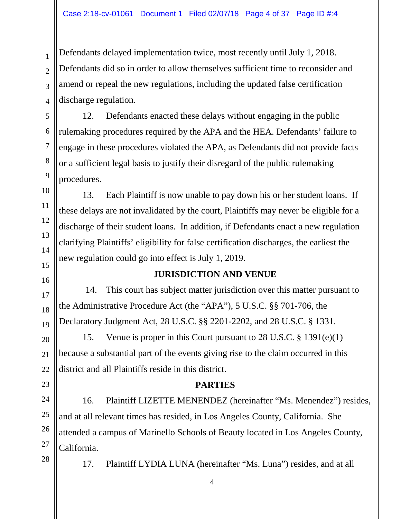Defendants delayed implementation twice, most recently until July 1, 2018. Defendants did so in order to allow themselves sufficient time to reconsider and amend or repeal the new regulations, including the updated false certification discharge regulation.

12. Defendants enacted these delays without engaging in the public rulemaking procedures required by the APA and the HEA. Defendants' failure to engage in these procedures violated the APA, as Defendants did not provide facts or a sufficient legal basis to justify their disregard of the public rulemaking procedures.

13. Each Plaintiff is now unable to pay down his or her student loans. If these delays are not invalidated by the court, Plaintiffs may never be eligible for a discharge of their student loans. In addition, if Defendants enact a new regulation clarifying Plaintiffs' eligibility for false certification discharges, the earliest the new regulation could go into effect is July 1, 2019.

### **JURISDICTION AND VENUE**

14. This court has subject matter jurisdiction over this matter pursuant to the Administrative Procedure Act (the "APA"), 5 U.S.C. §§ 701-706, the Declaratory Judgment Act, 28 U.S.C. §§ 2201-2202, and 28 U.S.C. § 1331.

15. Venue is proper in this Court pursuant to 28 U.S.C. § 1391(e)(1) because a substantial part of the events giving rise to the claim occurred in this district and all Plaintiffs reside in this district.

### **PARTIES**

16. Plaintiff LIZETTE MENENDEZ (hereinafter "Ms. Menendez") resides, and at all relevant times has resided, in Los Angeles County, California. She attended a campus of Marinello Schools of Beauty located in Los Angeles County, California.

17. Plaintiff LYDIA LUNA (hereinafter "Ms. Luna") resides, and at all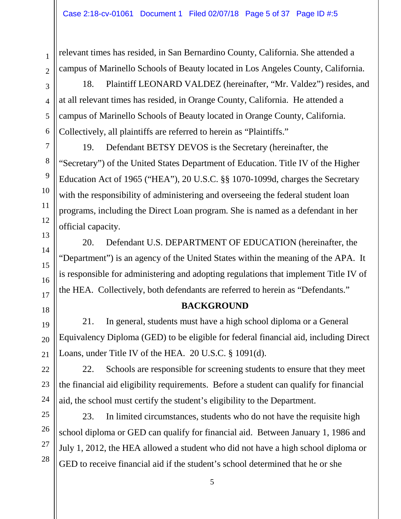relevant times has resided, in San Bernardino County, California. She attended a campus of Marinello Schools of Beauty located in Los Angeles County, California.

18. Plaintiff LEONARD VALDEZ (hereinafter, "Mr. Valdez") resides, and at all relevant times has resided, in Orange County, California. He attended a campus of Marinello Schools of Beauty located in Orange County, California. Collectively, all plaintiffs are referred to herein as "Plaintiffs."

19. Defendant BETSY DEVOS is the Secretary (hereinafter, the "Secretary") of the United States Department of Education. Title IV of the Higher Education Act of 1965 ("HEA"), 20 U.S.C. §§ 1070-1099d, charges the Secretary with the responsibility of administering and overseeing the federal student loan programs, including the Direct Loan program. She is named as a defendant in her official capacity.

20. Defendant U.S. DEPARTMENT OF EDUCATION (hereinafter, the "Department") is an agency of the United States within the meaning of the APA. It is responsible for administering and adopting regulations that implement Title IV of the HEA. Collectively, both defendants are referred to herein as "Defendants."

## **BACKGROUND**

21. In general, students must have a high school diploma or a General Equivalency Diploma (GED) to be eligible for federal financial aid, including Direct Loans, under Title IV of the HEA. 20 U.S.C. § 1091(d).

22. Schools are responsible for screening students to ensure that they meet the financial aid eligibility requirements. Before a student can qualify for financial aid, the school must certify the student's eligibility to the Department.

23. In limited circumstances, students who do not have the requisite high school diploma or GED can qualify for financial aid. Between January 1, 1986 and July 1, 2012, the HEA allowed a student who did not have a high school diploma or GED to receive financial aid if the student's school determined that he or she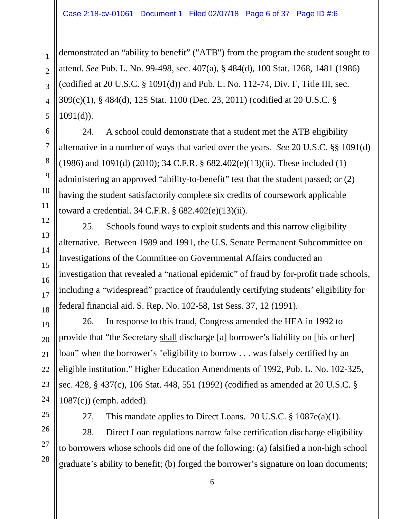#### Case 2:18-cv-01061 Document 1 Filed 02/07/18 Page 6 of 37 Page ID #:6

demonstrated an "ability to benefit" ("ATB") from the program the student sought to attend. *See* Pub. L. No. 99-498, sec. 407(a), § 484(d), 100 Stat. 1268, 1481 (1986) (codified at  $20$  U.S.C.  $\S$  1091(d)) and Pub. L. No. 112-74, Div. F, Title III, sec. 309(c)(1), § 484(d), 125 Stat. 1100 (Dec. 23, 2011) (codified at 20 U.S.C. §  $1091(d)$ ).

24. A school could demonstrate that a student met the ATB eligibility alternative in a number of ways that varied over the years. *See* 20 U.S.C. §§ 1091(d) (1986) and 1091(d) (2010); 34 C.F.R. § 682.402(e)(13)(ii). These included (1) administering an approved "ability-to-benefit" test that the student passed; or (2) having the student satisfactorily complete six credits of coursework applicable toward a credential. 34 C.F.R. § 682.402(e)(13)(ii).

25. Schools found ways to exploit students and this narrow eligibility alternative. Between 1989 and 1991, the U.S. Senate Permanent Subcommittee on Investigations of the Committee on Governmental Affairs conducted an investigation that revealed a "national epidemic" of fraud by for-profit trade schools, including a "widespread" practice of fraudulently certifying students' eligibility for federal financial aid. S. Rep. No. 102-58, 1st Sess. 37, 12 (1991).

26. In response to this fraud, Congress amended the HEA in 1992 to provide that "the Secretary shall discharge [a] borrower's liability on [his or her] loan" when the borrower's "eligibility to borrow . . . was falsely certified by an eligible institution." Higher Education Amendments of 1992, Pub. L. No. 102-325, sec. 428, § 437(c), 106 Stat. 448, 551 (1992) (codified as amended at 20 U.S.C. § 1087(c)) (emph. added).

27. This mandate applies to Direct Loans. 20 U.S.C. § 1087e(a)(1).

28. Direct Loan regulations narrow false certification discharge eligibility to borrowers whose schools did one of the following: (a) falsified a non-high school graduate's ability to benefit; (b) forged the borrower's signature on loan documents;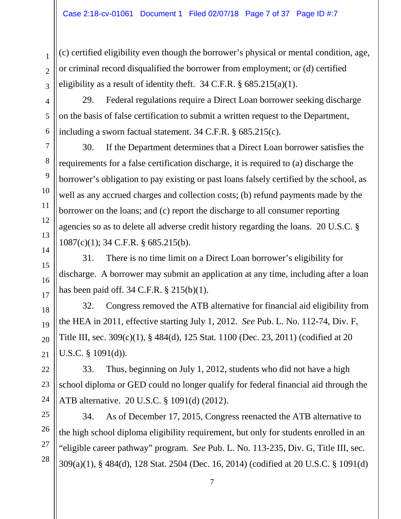(c) certified eligibility even though the borrower's physical or mental condition, age, or criminal record disqualified the borrower from employment; or (d) certified eligibility as a result of identity theft. 34 C.F.R.  $\S$  685.215(a)(1).

29. Federal regulations require a Direct Loan borrower seeking discharge on the basis of false certification to submit a written request to the Department, including a sworn factual statement. 34 C.F.R. § 685.215(c).

30. If the Department determines that a Direct Loan borrower satisfies the requirements for a false certification discharge, it is required to (a) discharge the borrower's obligation to pay existing or past loans falsely certified by the school, as well as any accrued charges and collection costs; (b) refund payments made by the borrower on the loans; and (c) report the discharge to all consumer reporting agencies so as to delete all adverse credit history regarding the loans. 20 U.S.C. § 1087(c)(1); 34 C.F.R. § 685.215(b).

31. There is no time limit on a Direct Loan borrower's eligibility for discharge. A borrower may submit an application at any time, including after a loan has been paid off. 34 C.F.R. § 215(b)(1).

32. Congress removed the ATB alternative for financial aid eligibility from the HEA in 2011, effective starting July 1, 2012. *See* Pub. L. No. 112-74, Div. F, Title III, sec. 309(c)(1), § 484(d), 125 Stat. 1100 (Dec. 23, 2011) (codified at 20 U.S.C. § 1091(d)).

33. Thus, beginning on July 1, 2012, students who did not have a high school diploma or GED could no longer qualify for federal financial aid through the ATB alternative. 20 U.S.C. § 1091(d) (2012).

34. As of December 17, 2015, Congress reenacted the ATB alternative to the high school diploma eligibility requirement, but only for students enrolled in an "eligible career pathway" program. *See* Pub. L. No. 113-235, Div. G, Title III, sec. 309(a)(1), § 484(d), 128 Stat. 2504 (Dec. 16, 2014) (codified at 20 U.S.C. § 1091(d)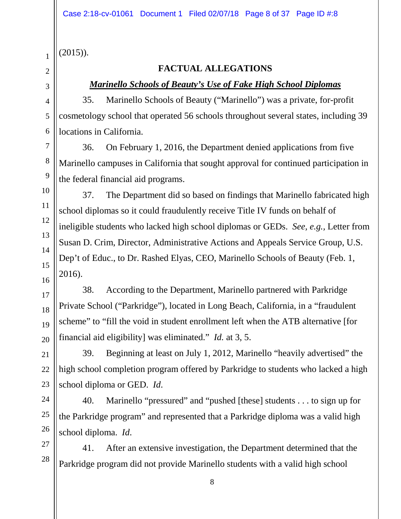(2015)).

1

## **FACTUAL ALLEGATIONS**

### *Marinello Schools of Beauty's Use of Fake High School Diplomas*

35. Marinello Schools of Beauty ("Marinello") was a private, for-profit cosmetology school that operated 56 schools throughout several states, including 39 locations in California.

36. On February 1, 2016, the Department denied applications from five Marinello campuses in California that sought approval for continued participation in the federal financial aid programs.

37. The Department did so based on findings that Marinello fabricated high school diplomas so it could fraudulently receive Title IV funds on behalf of ineligible students who lacked high school diplomas or GEDs. *See, e.g.,* Letter from Susan D. Crim, Director, Administrative Actions and Appeals Service Group, U.S. Dep't of Educ., to Dr. Rashed Elyas, CEO, Marinello Schools of Beauty (Feb. 1, 2016).

38. According to the Department, Marinello partnered with Parkridge Private School ("Parkridge"), located in Long Beach, California, in a "fraudulent scheme" to "fill the void in student enrollment left when the ATB alternative [for financial aid eligibility] was eliminated." *Id.* at 3, 5.

39. Beginning at least on July 1, 2012, Marinello "heavily advertised" the high school completion program offered by Parkridge to students who lacked a high school diploma or GED. *Id*.

40. Marinello "pressured" and "pushed [these] students . . . to sign up for the Parkridge program" and represented that a Parkridge diploma was a valid high school diploma. *Id*.

41. After an extensive investigation, the Department determined that the Parkridge program did not provide Marinello students with a valid high school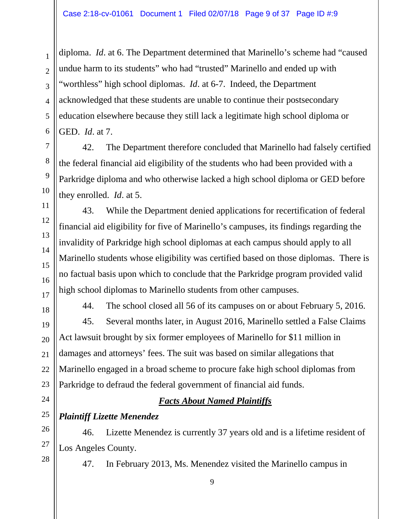diploma. *Id*. at 6. The Department determined that Marinello's scheme had "caused undue harm to its students" who had "trusted" Marinello and ended up with "worthless" high school diplomas. *Id*. at 6-7. Indeed, the Department acknowledged that these students are unable to continue their postsecondary education elsewhere because they still lack a legitimate high school diploma or GED. *Id*. at 7.

42. The Department therefore concluded that Marinello had falsely certified the federal financial aid eligibility of the students who had been provided with a Parkridge diploma and who otherwise lacked a high school diploma or GED before they enrolled. *Id*. at 5.

43. While the Department denied applications for recertification of federal financial aid eligibility for five of Marinello's campuses, its findings regarding the invalidity of Parkridge high school diplomas at each campus should apply to all Marinello students whose eligibility was certified based on those diplomas. There is no factual basis upon which to conclude that the Parkridge program provided valid high school diplomas to Marinello students from other campuses.

44. The school closed all 56 of its campuses on or about February 5, 2016. 45. Several months later, in August 2016, Marinello settled a False Claims Act lawsuit brought by six former employees of Marinello for \$11 million in damages and attorneys' fees. The suit was based on similar allegations that Marinello engaged in a broad scheme to procure fake high school diplomas from Parkridge to defraud the federal government of financial aid funds.

## *Facts About Named Plaintiffs*

## *Plaintiff Lizette Menendez*

46. Lizette Menendez is currently 37 years old and is a lifetime resident of Los Angeles County.

47. In February 2013, Ms. Menendez visited the Marinello campus in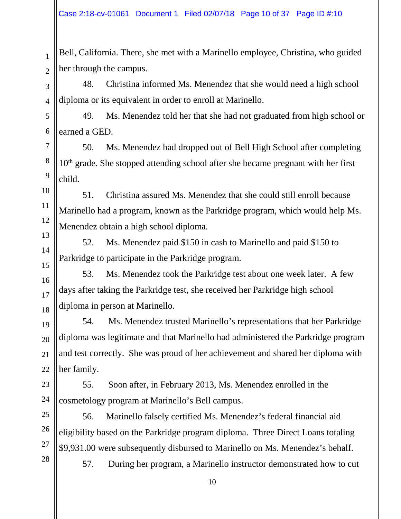Bell, California. There, she met with a Marinello employee, Christina, who guided her through the campus.

48. Christina informed Ms. Menendez that she would need a high school diploma or its equivalent in order to enroll at Marinello.

49. Ms. Menendez told her that she had not graduated from high school or earned a GED.

50. Ms. Menendez had dropped out of Bell High School after completing  $10<sup>th</sup>$  grade. She stopped attending school after she became pregnant with her first child.

51. Christina assured Ms. Menendez that she could still enroll because Marinello had a program, known as the Parkridge program, which would help Ms. Menendez obtain a high school diploma.

52. Ms. Menendez paid \$150 in cash to Marinello and paid \$150 to Parkridge to participate in the Parkridge program.

53. Ms. Menendez took the Parkridge test about one week later. A few days after taking the Parkridge test, she received her Parkridge high school diploma in person at Marinello.

54. Ms. Menendez trusted Marinello's representations that her Parkridge diploma was legitimate and that Marinello had administered the Parkridge program and test correctly. She was proud of her achievement and shared her diploma with her family.

55. Soon after, in February 2013, Ms. Menendez enrolled in the cosmetology program at Marinello's Bell campus.

56. Marinello falsely certified Ms. Menendez's federal financial aid eligibility based on the Parkridge program diploma. Three Direct Loans totaling \$9,931.00 were subsequently disbursed to Marinello on Ms. Menendez's behalf.

57. During her program, a Marinello instructor demonstrated how to cut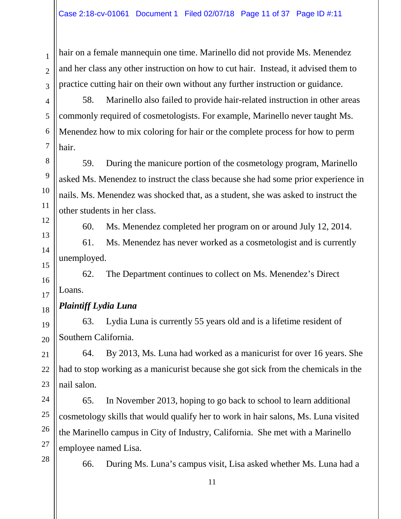hair on a female mannequin one time. Marinello did not provide Ms. Menendez and her class any other instruction on how to cut hair. Instead, it advised them to practice cutting hair on their own without any further instruction or guidance.

58. Marinello also failed to provide hair-related instruction in other areas commonly required of cosmetologists. For example, Marinello never taught Ms. Menendez how to mix coloring for hair or the complete process for how to perm hair.

59. During the manicure portion of the cosmetology program, Marinello asked Ms. Menendez to instruct the class because she had some prior experience in nails. Ms. Menendez was shocked that, as a student, she was asked to instruct the other students in her class.

60. Ms. Menendez completed her program on or around July 12, 2014.

61. Ms. Menendez has never worked as a cosmetologist and is currently unemployed.

62. The Department continues to collect on Ms. Menendez's Direct Loans.

## *Plaintiff Lydia Luna*

63. Lydia Luna is currently 55 years old and is a lifetime resident of Southern California.

64. By 2013, Ms. Luna had worked as a manicurist for over 16 years. She had to stop working as a manicurist because she got sick from the chemicals in the nail salon.

65. In November 2013, hoping to go back to school to learn additional cosmetology skills that would qualify her to work in hair salons, Ms. Luna visited the Marinello campus in City of Industry, California. She met with a Marinello employee named Lisa.

66. During Ms. Luna's campus visit, Lisa asked whether Ms. Luna had a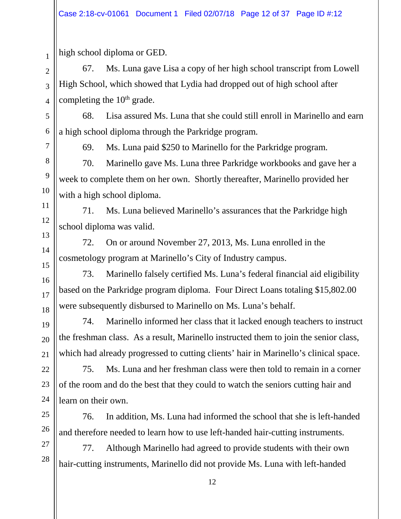high school diploma or GED.

67. Ms. Luna gave Lisa a copy of her high school transcript from Lowell High School, which showed that Lydia had dropped out of high school after completing the 10<sup>th</sup> grade.

68. Lisa assured Ms. Luna that she could still enroll in Marinello and earn a high school diploma through the Parkridge program.

1

69. Ms. Luna paid \$250 to Marinello for the Parkridge program.

70. Marinello gave Ms. Luna three Parkridge workbooks and gave her a week to complete them on her own. Shortly thereafter, Marinello provided her with a high school diploma.

71. Ms. Luna believed Marinello's assurances that the Parkridge high school diploma was valid.

72. On or around November 27, 2013, Ms. Luna enrolled in the cosmetology program at Marinello's City of Industry campus.

73. Marinello falsely certified Ms. Luna's federal financial aid eligibility based on the Parkridge program diploma. Four Direct Loans totaling \$15,802.00 were subsequently disbursed to Marinello on Ms. Luna's behalf.

74. Marinello informed her class that it lacked enough teachers to instruct the freshman class. As a result, Marinello instructed them to join the senior class, which had already progressed to cutting clients' hair in Marinello's clinical space.

75. Ms. Luna and her freshman class were then told to remain in a corner of the room and do the best that they could to watch the seniors cutting hair and learn on their own.

76. In addition, Ms. Luna had informed the school that she is left-handed and therefore needed to learn how to use left-handed hair-cutting instruments.

77. Although Marinello had agreed to provide students with their own hair-cutting instruments, Marinello did not provide Ms. Luna with left-handed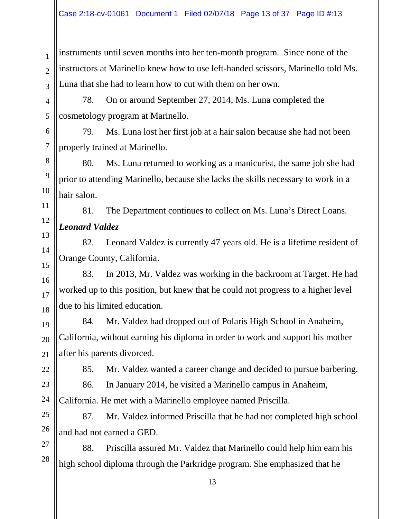instruments until seven months into her ten-month program. Since none of the instructors at Marinello knew how to use left-handed scissors, Marinello told Ms. Luna that she had to learn how to cut with them on her own.

78. On or around September 27, 2014, Ms. Luna completed the cosmetology program at Marinello.

79. Ms. Luna lost her first job at a hair salon because she had not been properly trained at Marinello.

80. Ms. Luna returned to working as a manicurist, the same job she had prior to attending Marinello, because she lacks the skills necessary to work in a hair salon.

81. The Department continues to collect on Ms. Luna's Direct Loans. *Leonard Valdez*

82. Leonard Valdez is currently 47 years old. He is a lifetime resident of Orange County, California.

83. In 2013, Mr. Valdez was working in the backroom at Target. He had worked up to this position, but knew that he could not progress to a higher level due to his limited education.

84. Mr. Valdez had dropped out of Polaris High School in Anaheim, California, without earning his diploma in order to work and support his mother after his parents divorced.

85. Mr. Valdez wanted a career change and decided to pursue barbering.

86. In January 2014, he visited a Marinello campus in Anaheim, California. He met with a Marinello employee named Priscilla.

87. Mr. Valdez informed Priscilla that he had not completed high school and had not earned a GED.

88. Priscilla assured Mr. Valdez that Marinello could help him earn his high school diploma through the Parkridge program. She emphasized that he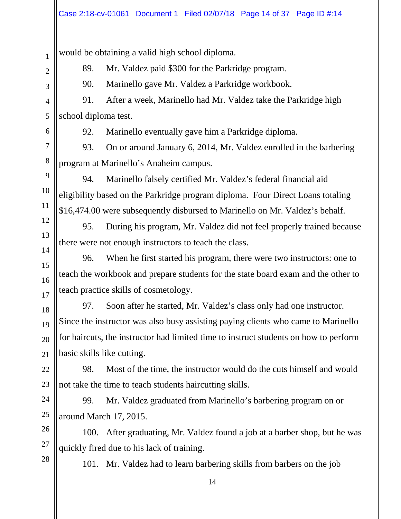would be obtaining a valid high school diploma.

89. Mr. Valdez paid \$300 for the Parkridge program.

1

2

3

90. Marinello gave Mr. Valdez a Parkridge workbook.

91. After a week, Marinello had Mr. Valdez take the Parkridge high school diploma test.

92. Marinello eventually gave him a Parkridge diploma.

93. On or around January 6, 2014, Mr. Valdez enrolled in the barbering program at Marinello's Anaheim campus.

94. Marinello falsely certified Mr. Valdez's federal financial aid eligibility based on the Parkridge program diploma. Four Direct Loans totaling \$16,474.00 were subsequently disbursed to Marinello on Mr. Valdez's behalf.

95. During his program, Mr. Valdez did not feel properly trained because there were not enough instructors to teach the class.

96. When he first started his program, there were two instructors: one to teach the workbook and prepare students for the state board exam and the other to teach practice skills of cosmetology.

97. Soon after he started, Mr. Valdez's class only had one instructor. Since the instructor was also busy assisting paying clients who came to Marinello for haircuts, the instructor had limited time to instruct students on how to perform basic skills like cutting.

98. Most of the time, the instructor would do the cuts himself and would not take the time to teach students haircutting skills.

99. Mr. Valdez graduated from Marinello's barbering program on or around March 17, 2015.

100. After graduating, Mr. Valdez found a job at a barber shop, but he was quickly fired due to his lack of training.

101. Mr. Valdez had to learn barbering skills from barbers on the job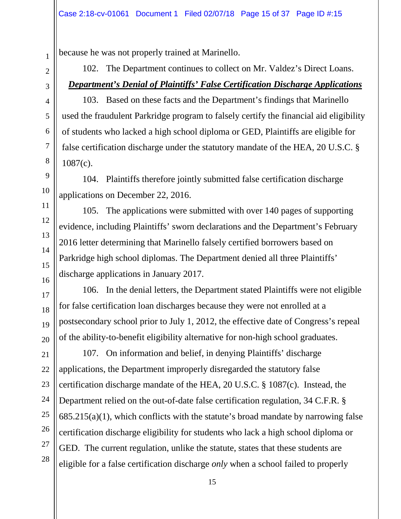because he was not properly trained at Marinello.

102. The Department continues to collect on Mr. Valdez's Direct Loans. *Department's Denial of Plaintiffs' False Certification Discharge Applications*

103. Based on these facts and the Department's findings that Marinello used the fraudulent Parkridge program to falsely certify the financial aid eligibility of students who lacked a high school diploma or GED, Plaintiffs are eligible for false certification discharge under the statutory mandate of the HEA, 20 U.S.C. § 1087(c).

104. Plaintiffs therefore jointly submitted false certification discharge applications on December 22, 2016.

105. The applications were submitted with over 140 pages of supporting evidence, including Plaintiffs' sworn declarations and the Department's February 2016 letter determining that Marinello falsely certified borrowers based on Parkridge high school diplomas. The Department denied all three Plaintiffs' discharge applications in January 2017.

106. In the denial letters, the Department stated Plaintiffs were not eligible for false certification loan discharges because they were not enrolled at a postsecondary school prior to July 1, 2012, the effective date of Congress's repeal of the ability-to-benefit eligibility alternative for non-high school graduates.

107. On information and belief, in denying Plaintiffs' discharge applications, the Department improperly disregarded the statutory false certification discharge mandate of the HEA, 20 U.S.C. § 1087(c). Instead, the Department relied on the out-of-date false certification regulation, 34 C.F.R. §  $685.215(a)(1)$ , which conflicts with the statute's broad mandate by narrowing false certification discharge eligibility for students who lack a high school diploma or GED. The current regulation, unlike the statute, states that these students are eligible for a false certification discharge *only* when a school failed to properly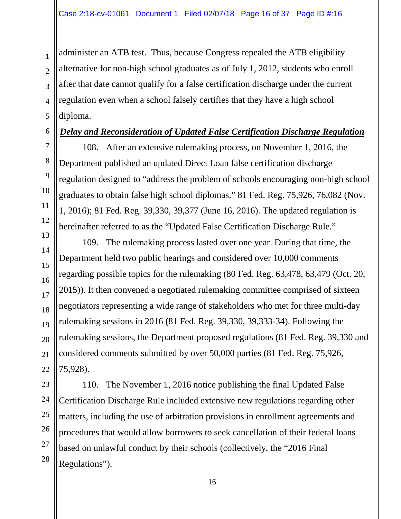administer an ATB test. Thus, because Congress repealed the ATB eligibility alternative for non-high school graduates as of July 1, 2012, students who enroll after that date cannot qualify for a false certification discharge under the current regulation even when a school falsely certifies that they have a high school diploma.

#### *Delay and Reconsideration of Updated False Certification Discharge Regulation*

108. After an extensive rulemaking process, on November 1, 2016, the Department published an updated Direct Loan false certification discharge regulation designed to "address the problem of schools encouraging non-high school graduates to obtain false high school diplomas." 81 Fed. Reg. 75,926, 76,082 (Nov. 1, 2016); 81 Fed. Reg. 39,330, 39,377 (June 16, 2016). The updated regulation is hereinafter referred to as the "Updated False Certification Discharge Rule."

109. The rulemaking process lasted over one year. During that time, the Department held two public hearings and considered over 10,000 comments regarding possible topics for the rulemaking (80 Fed. Reg. 63,478, 63,479 (Oct. 20, 2015)). It then convened a negotiated rulemaking committee comprised of sixteen negotiators representing a wide range of stakeholders who met for three multi-day rulemaking sessions in 2016 (81 Fed. Reg. 39,330, 39,333-34). Following the rulemaking sessions, the Department proposed regulations (81 Fed. Reg. 39,330 and considered comments submitted by over 50,000 parties (81 Fed. Reg. 75,926, 75,928).

110. The November 1, 2016 notice publishing the final Updated False Certification Discharge Rule included extensive new regulations regarding other matters, including the use of arbitration provisions in enrollment agreements and procedures that would allow borrowers to seek cancellation of their federal loans based on unlawful conduct by their schools (collectively, the "2016 Final Regulations").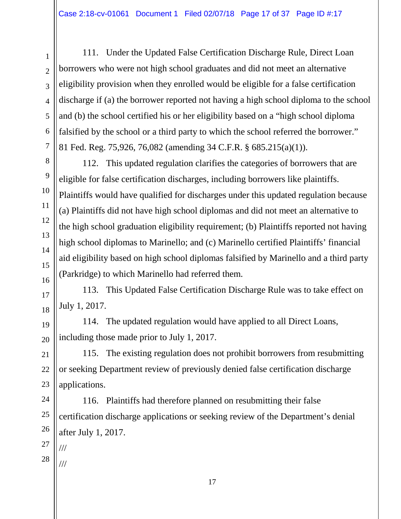111. Under the Updated False Certification Discharge Rule, Direct Loan borrowers who were not high school graduates and did not meet an alternative eligibility provision when they enrolled would be eligible for a false certification discharge if (a) the borrower reported not having a high school diploma to the school and (b) the school certified his or her eligibility based on a "high school diploma falsified by the school or a third party to which the school referred the borrower." 81 Fed. Reg. 75,926, 76,082 (amending 34 C.F.R. § 685.215(a)(1)).

112. This updated regulation clarifies the categories of borrowers that are eligible for false certification discharges, including borrowers like plaintiffs. Plaintiffs would have qualified for discharges under this updated regulation because (a) Plaintiffs did not have high school diplomas and did not meet an alternative to the high school graduation eligibility requirement; (b) Plaintiffs reported not having high school diplomas to Marinello; and (c) Marinello certified Plaintiffs' financial aid eligibility based on high school diplomas falsified by Marinello and a third party (Parkridge) to which Marinello had referred them.

113. This Updated False Certification Discharge Rule was to take effect on July 1, 2017.

114. The updated regulation would have applied to all Direct Loans, including those made prior to July 1, 2017.

115. The existing regulation does not prohibit borrowers from resubmitting or seeking Department review of previously denied false certification discharge applications.

116. Plaintiffs had therefore planned on resubmitting their false certification discharge applications or seeking review of the Department's denial after July 1, 2017.

1

2

3

4

5

6

7

8

9

10

11

12

13

14

15

28 ///

///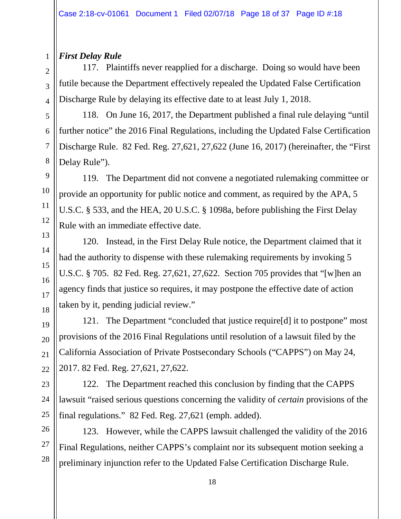### *First Delay Rule*

117. Plaintiffs never reapplied for a discharge. Doing so would have been futile because the Department effectively repealed the Updated False Certification Discharge Rule by delaying its effective date to at least July 1, 2018.

118. On June 16, 2017, the Department published a final rule delaying "until further notice" the 2016 Final Regulations, including the Updated False Certification Discharge Rule. 82 Fed. Reg. 27,621, 27,622 (June 16, 2017) (hereinafter, the "First Delay Rule").

119. The Department did not convene a negotiated rulemaking committee or provide an opportunity for public notice and comment, as required by the APA, 5 U.S.C. § 533, and the HEA, 20 U.S.C. § 1098a, before publishing the First Delay Rule with an immediate effective date.

120. Instead, in the First Delay Rule notice, the Department claimed that it had the authority to dispense with these rulemaking requirements by invoking 5 U.S.C. § 705. 82 Fed. Reg. 27,621, 27,622. Section 705 provides that "[w]hen an agency finds that justice so requires, it may postpone the effective date of action taken by it, pending judicial review."

121. The Department "concluded that justice require[d] it to postpone" most provisions of the 2016 Final Regulations until resolution of a lawsuit filed by the California Association of Private Postsecondary Schools ("CAPPS") on May 24, 2017. 82 Fed. Reg. 27,621, 27,622.

122. The Department reached this conclusion by finding that the CAPPS lawsuit "raised serious questions concerning the validity of *certain* provisions of the final regulations." 82 Fed. Reg. 27,621 (emph. added).

123. However, while the CAPPS lawsuit challenged the validity of the 2016 Final Regulations, neither CAPPS's complaint nor its subsequent motion seeking a preliminary injunction refer to the Updated False Certification Discharge Rule.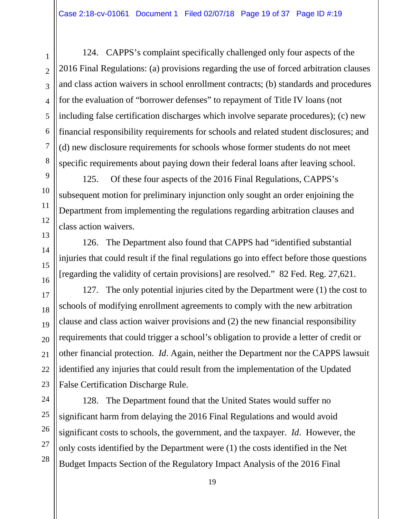124. CAPPS's complaint specifically challenged only four aspects of the 2016 Final Regulations: (a) provisions regarding the use of forced arbitration clauses and class action waivers in school enrollment contracts; (b) standards and procedures for the evaluation of "borrower defenses" to repayment of Title IV loans (not including false certification discharges which involve separate procedures); (c) new financial responsibility requirements for schools and related student disclosures; and (d) new disclosure requirements for schools whose former students do not meet specific requirements about paying down their federal loans after leaving school.

125. Of these four aspects of the 2016 Final Regulations, CAPPS's subsequent motion for preliminary injunction only sought an order enjoining the Department from implementing the regulations regarding arbitration clauses and class action waivers.

126. The Department also found that CAPPS had "identified substantial injuries that could result if the final regulations go into effect before those questions [regarding the validity of certain provisions] are resolved." 82 Fed. Reg. 27,621.

127. The only potential injuries cited by the Department were (1) the cost to schools of modifying enrollment agreements to comply with the new arbitration clause and class action waiver provisions and (2) the new financial responsibility requirements that could trigger a school's obligation to provide a letter of credit or other financial protection. *Id*. Again, neither the Department nor the CAPPS lawsuit identified any injuries that could result from the implementation of the Updated False Certification Discharge Rule.

128. The Department found that the United States would suffer no significant harm from delaying the 2016 Final Regulations and would avoid significant costs to schools, the government, and the taxpayer. *Id*. However, the only costs identified by the Department were (1) the costs identified in the Net Budget Impacts Section of the Regulatory Impact Analysis of the 2016 Final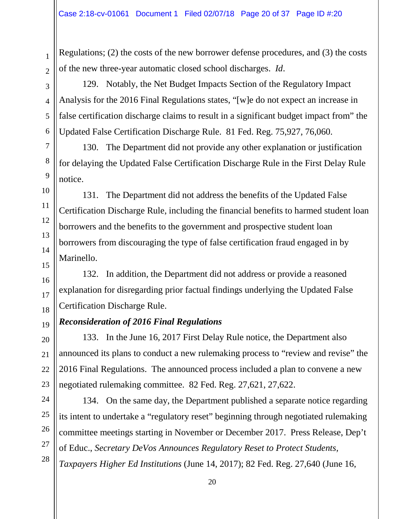Regulations; (2) the costs of the new borrower defense procedures, and (3) the costs of the new three-year automatic closed school discharges. *Id*.

129. Notably, the Net Budget Impacts Section of the Regulatory Impact Analysis for the 2016 Final Regulations states, "[w]e do not expect an increase in false certification discharge claims to result in a significant budget impact from" the Updated False Certification Discharge Rule. 81 Fed. Reg. 75,927, 76,060.

130. The Department did not provide any other explanation or justification for delaying the Updated False Certification Discharge Rule in the First Delay Rule notice.

131. The Department did not address the benefits of the Updated False Certification Discharge Rule, including the financial benefits to harmed student loan borrowers and the benefits to the government and prospective student loan borrowers from discouraging the type of false certification fraud engaged in by Marinello.

132. In addition, the Department did not address or provide a reasoned explanation for disregarding prior factual findings underlying the Updated False Certification Discharge Rule.

## *Reconsideration of 2016 Final Regulations*

133. In the June 16, 2017 First Delay Rule notice, the Department also announced its plans to conduct a new rulemaking process to "review and revise" the 2016 Final Regulations. The announced process included a plan to convene a new negotiated rulemaking committee. 82 Fed. Reg. 27,621, 27,622.

134. On the same day, the Department published a separate notice regarding its intent to undertake a "regulatory reset" beginning through negotiated rulemaking committee meetings starting in November or December 2017. Press Release, Dep't of Educ., *Secretary DeVos Announces Regulatory Reset to Protect Students, Taxpayers Higher Ed Institutions* (June 14, 2017); 82 Fed. Reg. 27,640 (June 16,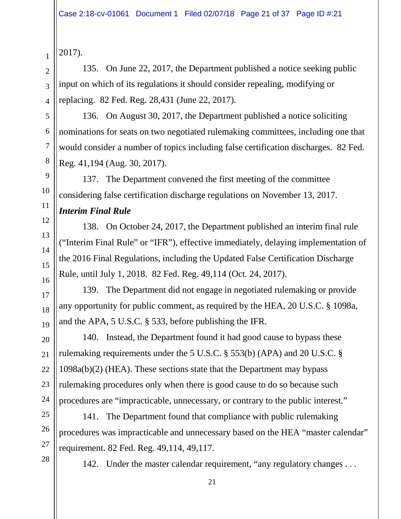```
2017).
```
135. On June 22, 2017, the Department published a notice seeking public input on which of its regulations it should consider repealing, modifying or replacing. 82 Fed. Reg. 28,431 (June 22, 2017).

136. On August 30, 2017, the Department published a notice soliciting nominations for seats on two negotiated rulemaking committees, including one that would consider a number of topics including false certification discharges. 82 Fed. Reg. 41,194 (Aug. 30, 2017).

137. The Department convened the first meeting of the committee considering false certification discharge regulations on November 13, 2017.

## *Interim Final Rule*

138. On October 24, 2017, the Department published an interim final rule ("Interim Final Rule" or "IFR"), effective immediately, delaying implementation of the 2016 Final Regulations, including the Updated False Certification Discharge Rule, until July 1, 2018. 82 Fed. Reg. 49,114 (Oct. 24, 2017).

139. The Department did not engage in negotiated rulemaking or provide any opportunity for public comment, as required by the HEA, 20 U.S.C. § 1098a, and the APA, 5 U.S.C. § 533, before publishing the IFR.

140. Instead, the Department found it had good cause to bypass these rulemaking requirements under the 5 U.S.C. § 553(b) (APA) and 20 U.S.C. § 1098a(b)(2) (HEA). These sections state that the Department may bypass rulemaking procedures only when there is good cause to do so because such procedures are "impracticable, unnecessary, or contrary to the public interest."

141. The Department found that compliance with public rulemaking procedures was impracticable and unnecessary based on the HEA "master calendar" requirement. 82 Fed. Reg. 49,114, 49,117.

142. Under the master calendar requirement, "any regulatory changes ...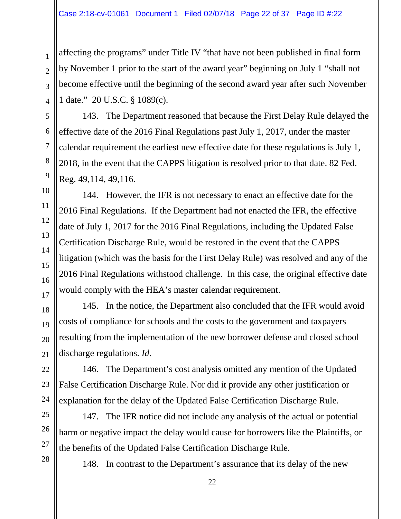affecting the programs" under Title IV "that have not been published in final form by November 1 prior to the start of the award year" beginning on July 1 "shall not become effective until the beginning of the second award year after such November 1 date." 20 U.S.C. § 1089(c).

143. The Department reasoned that because the First Delay Rule delayed the effective date of the 2016 Final Regulations past July 1, 2017, under the master calendar requirement the earliest new effective date for these regulations is July 1, 2018, in the event that the CAPPS litigation is resolved prior to that date. 82 Fed. Reg. 49,114, 49,116.

144. However, the IFR is not necessary to enact an effective date for the 2016 Final Regulations. If the Department had not enacted the IFR, the effective date of July 1, 2017 for the 2016 Final Regulations, including the Updated False Certification Discharge Rule, would be restored in the event that the CAPPS litigation (which was the basis for the First Delay Rule) was resolved and any of the 2016 Final Regulations withstood challenge. In this case, the original effective date would comply with the HEA's master calendar requirement.

145. In the notice, the Department also concluded that the IFR would avoid costs of compliance for schools and the costs to the government and taxpayers resulting from the implementation of the new borrower defense and closed school discharge regulations. *Id*.

146. The Department's cost analysis omitted any mention of the Updated False Certification Discharge Rule. Nor did it provide any other justification or explanation for the delay of the Updated False Certification Discharge Rule.

147. The IFR notice did not include any analysis of the actual or potential harm or negative impact the delay would cause for borrowers like the Plaintiffs, or the benefits of the Updated False Certification Discharge Rule.

148. In contrast to the Department's assurance that its delay of the new

1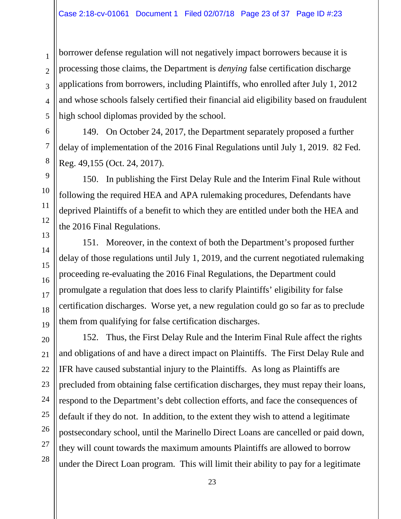borrower defense regulation will not negatively impact borrowers because it is processing those claims, the Department is *denying* false certification discharge applications from borrowers, including Plaintiffs, who enrolled after July 1, 2012 and whose schools falsely certified their financial aid eligibility based on fraudulent high school diplomas provided by the school.

149. On October 24, 2017, the Department separately proposed a further delay of implementation of the 2016 Final Regulations until July 1, 2019. 82 Fed. Reg. 49,155 (Oct. 24, 2017).

150. In publishing the First Delay Rule and the Interim Final Rule without following the required HEA and APA rulemaking procedures, Defendants have deprived Plaintiffs of a benefit to which they are entitled under both the HEA and the 2016 Final Regulations.

151. Moreover, in the context of both the Department's proposed further delay of those regulations until July 1, 2019, and the current negotiated rulemaking proceeding re-evaluating the 2016 Final Regulations, the Department could promulgate a regulation that does less to clarify Plaintiffs' eligibility for false certification discharges. Worse yet, a new regulation could go so far as to preclude them from qualifying for false certification discharges.

152. Thus, the First Delay Rule and the Interim Final Rule affect the rights and obligations of and have a direct impact on Plaintiffs. The First Delay Rule and IFR have caused substantial injury to the Plaintiffs. As long as Plaintiffs are precluded from obtaining false certification discharges, they must repay their loans, respond to the Department's debt collection efforts, and face the consequences of default if they do not. In addition, to the extent they wish to attend a legitimate postsecondary school, until the Marinello Direct Loans are cancelled or paid down, they will count towards the maximum amounts Plaintiffs are allowed to borrow under the Direct Loan program. This will limit their ability to pay for a legitimate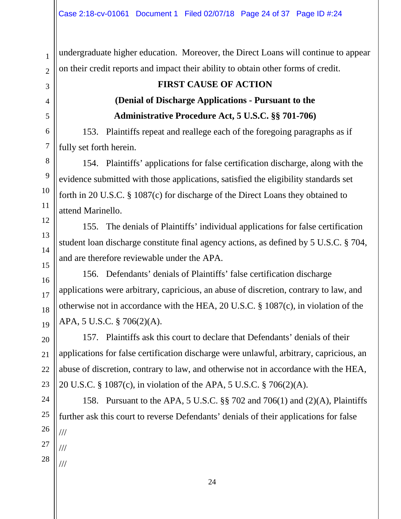undergraduate higher education. Moreover, the Direct Loans will continue to appear on their credit reports and impact their ability to obtain other forms of credit.

## **FIRST CAUSE OF ACTION (Denial of Discharge Applications - Pursuant to the Administrative Procedure Act, 5 U.S.C. §§ 701-706)**

153. Plaintiffs repeat and reallege each of the foregoing paragraphs as if fully set forth herein.

154. Plaintiffs' applications for false certification discharge, along with the evidence submitted with those applications, satisfied the eligibility standards set forth in 20 U.S.C. § 1087(c) for discharge of the Direct Loans they obtained to attend Marinello.

155. The denials of Plaintiffs' individual applications for false certification student loan discharge constitute final agency actions, as defined by 5 U.S.C. § 704, and are therefore reviewable under the APA.

156. Defendants' denials of Plaintiffs' false certification discharge applications were arbitrary, capricious, an abuse of discretion, contrary to law, and otherwise not in accordance with the HEA, 20 U.S.C. § 1087(c), in violation of the APA, 5 U.S.C. § 706(2)(A).

157. Plaintiffs ask this court to declare that Defendants' denials of their applications for false certification discharge were unlawful, arbitrary, capricious, an abuse of discretion, contrary to law, and otherwise not in accordance with the HEA, 20 U.S.C. § 1087(c), in violation of the APA, 5 U.S.C. § 706(2)(A).

158. Pursuant to the APA, 5 U.S.C. §§ 702 and 706(1) and (2)(A), Plaintiffs further ask this court to reverse Defendants' denials of their applications for false /// /// ///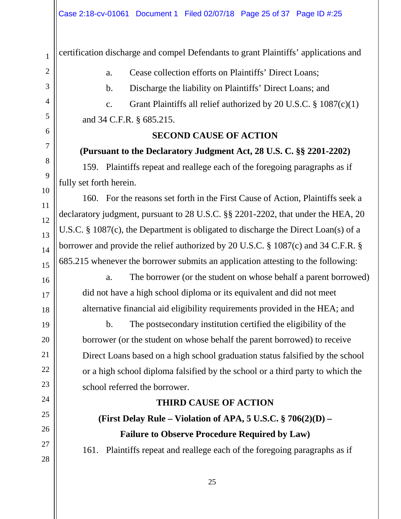certification discharge and compel Defendants to grant Plaintiffs' applications and

a. Cease collection efforts on Plaintiffs' Direct Loans;

b. Discharge the liability on Plaintiffs' Direct Loans; and

c. Grant Plaintiffs all relief authorized by 20 U.S.C.  $\S$  1087(c)(1) and 34 C.F.R. § 685.215.

### **SECOND CAUSE OF ACTION**

### **(Pursuant to the Declaratory Judgment Act, 28 U.S. C. §§ 2201-2202)**

159. Plaintiffs repeat and reallege each of the foregoing paragraphs as if fully set forth herein.

160. For the reasons set forth in the First Cause of Action, Plaintiffs seek a declaratory judgment, pursuant to 28 U.S.C. §§ 2201-2202, that under the HEA, 20 U.S.C. § 1087(c), the Department is obligated to discharge the Direct Loan(s) of a borrower and provide the relief authorized by 20 U.S.C. § 1087(c) and 34 C.F.R. § 685.215 whenever the borrower submits an application attesting to the following:

a. The borrower (or the student on whose behalf a parent borrowed) did not have a high school diploma or its equivalent and did not meet alternative financial aid eligibility requirements provided in the HEA; and

b. The postsecondary institution certified the eligibility of the borrower (or the student on whose behalf the parent borrowed) to receive Direct Loans based on a high school graduation status falsified by the school or a high school diploma falsified by the school or a third party to which the school referred the borrower.

### **THIRD CAUSE OF ACTION**

**(First Delay Rule – Violation of APA, 5 U.S.C. § 706(2)(D) – Failure to Observe Procedure Required by Law)**

161. Plaintiffs repeat and reallege each of the foregoing paragraphs as if

1

2

3

4

5

6

7

8

9

10

11

12

13

14

15

16

17

18

19

20

21

22

23

24

25

26

27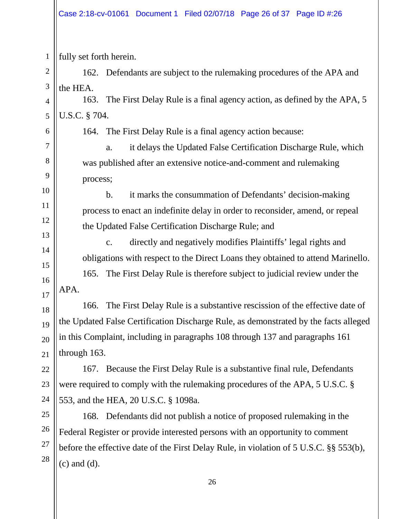fully set forth herein.

162. Defendants are subject to the rulemaking procedures of the APA and the HEA.

163. The First Delay Rule is a final agency action, as defined by the APA, 5 U.S.C. § 704.

6

7

8

9

10

11

12

13

14

15

16

17

18

19

20

21

22

23

24

25

26

27

28

1

2

3

4

5

164. The First Delay Rule is a final agency action because:

a. it delays the Updated False Certification Discharge Rule, which was published after an extensive notice-and-comment and rulemaking process;

b. it marks the consummation of Defendants' decision-making process to enact an indefinite delay in order to reconsider, amend, or repeal the Updated False Certification Discharge Rule; and

c. directly and negatively modifies Plaintiffs' legal rights and obligations with respect to the Direct Loans they obtained to attend Marinello.

165. The First Delay Rule is therefore subject to judicial review under the APA.

166. The First Delay Rule is a substantive rescission of the effective date of the Updated False Certification Discharge Rule, as demonstrated by the facts alleged in this Complaint, including in paragraphs 108 through 137 and paragraphs 161 through 163.

167. Because the First Delay Rule is a substantive final rule, Defendants were required to comply with the rulemaking procedures of the APA, 5 U.S.C. § 553, and the HEA, 20 U.S.C. § 1098a.

168. Defendants did not publish a notice of proposed rulemaking in the Federal Register or provide interested persons with an opportunity to comment before the effective date of the First Delay Rule, in violation of 5 U.S.C. §§ 553(b), (c) and (d).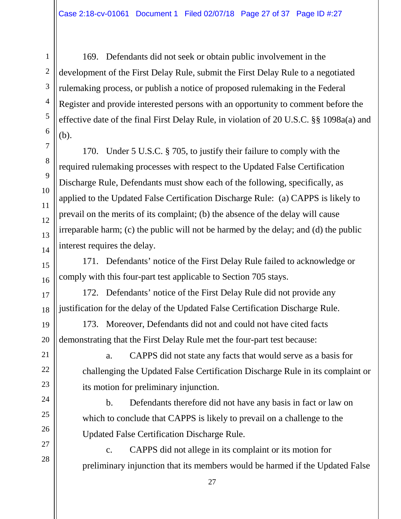169. Defendants did not seek or obtain public involvement in the development of the First Delay Rule, submit the First Delay Rule to a negotiated rulemaking process, or publish a notice of proposed rulemaking in the Federal Register and provide interested persons with an opportunity to comment before the effective date of the final First Delay Rule, in violation of 20 U.S.C. §§ 1098a(a) and (b).

170. Under 5 U.S.C. § 705, to justify their failure to comply with the required rulemaking processes with respect to the Updated False Certification Discharge Rule, Defendants must show each of the following, specifically, as applied to the Updated False Certification Discharge Rule: (a) CAPPS is likely to prevail on the merits of its complaint; (b) the absence of the delay will cause irreparable harm; (c) the public will not be harmed by the delay; and (d) the public interest requires the delay.

171. Defendants' notice of the First Delay Rule failed to acknowledge or comply with this four-part test applicable to Section 705 stays.

172. Defendants' notice of the First Delay Rule did not provide any justification for the delay of the Updated False Certification Discharge Rule.

173. Moreover, Defendants did not and could not have cited facts demonstrating that the First Delay Rule met the four-part test because:

a. CAPPS did not state any facts that would serve as a basis for challenging the Updated False Certification Discharge Rule in its complaint or its motion for preliminary injunction.

b. Defendants therefore did not have any basis in fact or law on which to conclude that CAPPS is likely to prevail on a challenge to the Updated False Certification Discharge Rule.

c. CAPPS did not allege in its complaint or its motion for preliminary injunction that its members would be harmed if the Updated False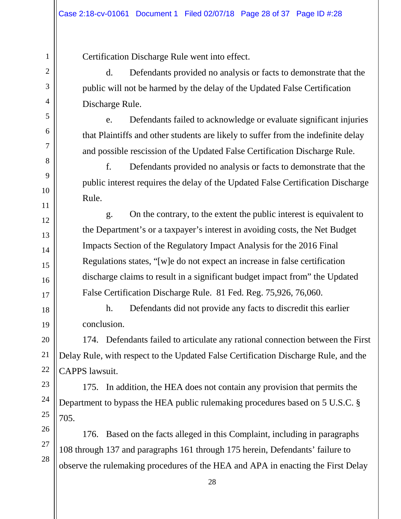Certification Discharge Rule went into effect.

d. Defendants provided no analysis or facts to demonstrate that the public will not be harmed by the delay of the Updated False Certification Discharge Rule.

e. Defendants failed to acknowledge or evaluate significant injuries that Plaintiffs and other students are likely to suffer from the indefinite delay and possible rescission of the Updated False Certification Discharge Rule.

f. Defendants provided no analysis or facts to demonstrate that the public interest requires the delay of the Updated False Certification Discharge Rule.

g. On the contrary, to the extent the public interest is equivalent to the Department's or a taxpayer's interest in avoiding costs, the Net Budget Impacts Section of the Regulatory Impact Analysis for the 2016 Final Regulations states, "[w]e do not expect an increase in false certification discharge claims to result in a significant budget impact from" the Updated False Certification Discharge Rule. 81 Fed. Reg. 75,926, 76,060.

h. Defendants did not provide any facts to discredit this earlier conclusion.

174. Defendants failed to articulate any rational connection between the First Delay Rule, with respect to the Updated False Certification Discharge Rule, and the CAPPS lawsuit.

175. In addition, the HEA does not contain any provision that permits the Department to bypass the HEA public rulemaking procedures based on 5 U.S.C. § 705.

176. Based on the facts alleged in this Complaint, including in paragraphs 108 through 137 and paragraphs 161 through 175 herein, Defendants' failure to observe the rulemaking procedures of the HEA and APA in enacting the First Delay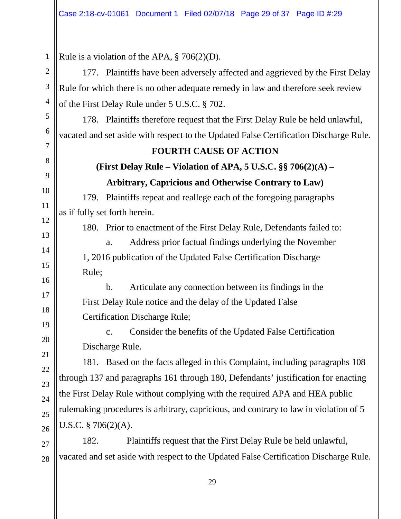1 2 3 4 5 6 7 8 9 10 11 12 13 14 15 16 17 18 19 20 21 22 23 24 25 26 27 28 Rule is a violation of the APA,  $\S 706(2)(D)$ . 177. Plaintiffs have been adversely affected and aggrieved by the First Delay Rule for which there is no other adequate remedy in law and therefore seek review of the First Delay Rule under 5 U.S.C. § 702. 178. Plaintiffs therefore request that the First Delay Rule be held unlawful, vacated and set aside with respect to the Updated False Certification Discharge Rule. **FOURTH CAUSE OF ACTION (First Delay Rule – Violation of APA, 5 U.S.C. §§ 706(2)(A) – Arbitrary, Capricious and Otherwise Contrary to Law)** 179. Plaintiffs repeat and reallege each of the foregoing paragraphs as if fully set forth herein. 180. Prior to enactment of the First Delay Rule, Defendants failed to: a. Address prior factual findings underlying the November 1, 2016 publication of the Updated False Certification Discharge Rule; b. Articulate any connection between its findings in the First Delay Rule notice and the delay of the Updated False Certification Discharge Rule; c. Consider the benefits of the Updated False Certification Discharge Rule. 181. Based on the facts alleged in this Complaint, including paragraphs 108 through 137 and paragraphs 161 through 180, Defendants' justification for enacting the First Delay Rule without complying with the required APA and HEA public rulemaking procedures is arbitrary, capricious, and contrary to law in violation of 5 U.S.C. § 706(2)(A). 182. Plaintiffs request that the First Delay Rule be held unlawful, vacated and set aside with respect to the Updated False Certification Discharge Rule.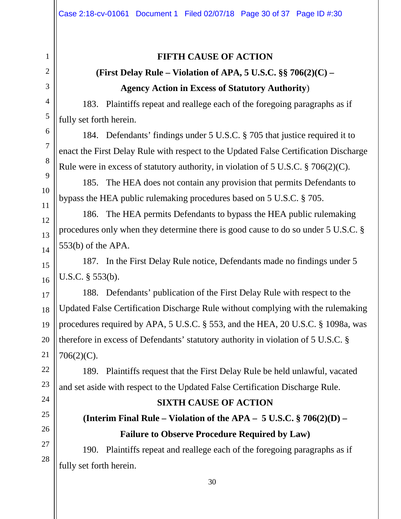### **FIFTH CAUSE OF ACTION**

## **(First Delay Rule – Violation of APA, 5 U.S.C. §§ 706(2)(C) – Agency Action in Excess of Statutory Authority**)

183. Plaintiffs repeat and reallege each of the foregoing paragraphs as if fully set forth herein.

184. Defendants' findings under 5 U.S.C. § 705 that justice required it to enact the First Delay Rule with respect to the Updated False Certification Discharge Rule were in excess of statutory authority, in violation of 5 U.S.C. § 706(2)(C).

185. The HEA does not contain any provision that permits Defendants to bypass the HEA public rulemaking procedures based on 5 U.S.C. § 705.

186. The HEA permits Defendants to bypass the HEA public rulemaking procedures only when they determine there is good cause to do so under 5 U.S.C. § 553(b) of the APA.

187. In the First Delay Rule notice, Defendants made no findings under 5 U.S.C. § 553(b).

188. Defendants' publication of the First Delay Rule with respect to the Updated False Certification Discharge Rule without complying with the rulemaking procedures required by APA, 5 U.S.C. § 553, and the HEA, 20 U.S.C. § 1098a, was therefore in excess of Defendants' statutory authority in violation of 5 U.S.C. § 706(2)(C).

189. Plaintiffs request that the First Delay Rule be held unlawful, vacated and set aside with respect to the Updated False Certification Discharge Rule.

### **SIXTH CAUSE OF ACTION**

## **(Interim Final Rule – Violation of the APA – 5 U.S.C. § 706(2)(D) – Failure to Observe Procedure Required by Law)**

190. Plaintiffs repeat and reallege each of the foregoing paragraphs as if fully set forth herein.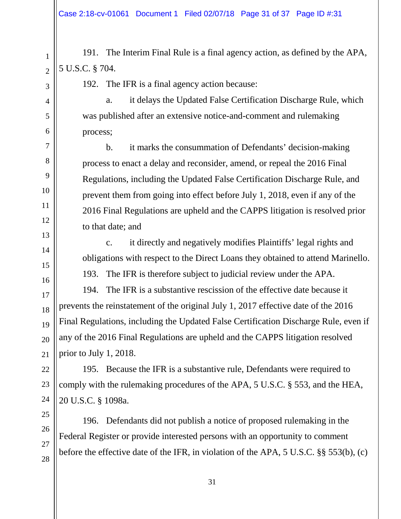191. The Interim Final Rule is a final agency action, as defined by the APA, 5 U.S.C. § 704.

192. The IFR is a final agency action because:

a. it delays the Updated False Certification Discharge Rule, which was published after an extensive notice-and-comment and rulemaking process;

b. it marks the consummation of Defendants' decision-making process to enact a delay and reconsider, amend, or repeal the 2016 Final Regulations, including the Updated False Certification Discharge Rule, and prevent them from going into effect before July 1, 2018, even if any of the 2016 Final Regulations are upheld and the CAPPS litigation is resolved prior to that date; and

c. it directly and negatively modifies Plaintiffs' legal rights and obligations with respect to the Direct Loans they obtained to attend Marinello.

193. The IFR is therefore subject to judicial review under the APA.

194. The IFR is a substantive rescission of the effective date because it prevents the reinstatement of the original July 1, 2017 effective date of the 2016 Final Regulations, including the Updated False Certification Discharge Rule, even if any of the 2016 Final Regulations are upheld and the CAPPS litigation resolved prior to July 1, 2018.

195. Because the IFR is a substantive rule, Defendants were required to comply with the rulemaking procedures of the APA, 5 U.S.C. § 553, and the HEA, 20 U.S.C. § 1098a.

196. Defendants did not publish a notice of proposed rulemaking in the Federal Register or provide interested persons with an opportunity to comment before the effective date of the IFR, in violation of the APA, 5 U.S.C. §§ 553(b), (c)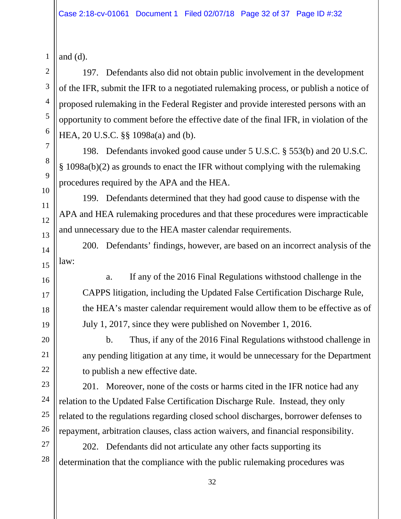| $\overline{c}$  |
|-----------------|
| 3               |
| $\overline{4}$  |
| 5               |
| 6               |
| $\overline{7}$  |
| 8               |
| 9               |
| 10 <sup>1</sup> |
| 11              |
| 12              |
| 13              |
| $\frac{1}{4}$   |
| 15              |
| 16              |
| 17              |
| 18              |
| 19              |
| 20              |
| $\overline{21}$ |
| 2               |
| $\overline{c}$  |
| 1               |
| 25              |
| $\frac{2}{3}$   |
| 21              |
| 28              |
|                 |

and  $(d)$ .

1

197. Defendants also did not obtain public involvement in the development of the IFR, submit the IFR to a negotiated rulemaking process, or publish a notice of proposed rulemaking in the Federal Register and provide interested persons with an opportunity to comment before the effective date of the final IFR, in violation of the HEA, 20 U.S.C. §§ 1098a(a) and (b).

198. Defendants invoked good cause under 5 U.S.C. § 553(b) and 20 U.S.C. § 1098a(b)(2) as grounds to enact the IFR without complying with the rulemaking procedures required by the APA and the HEA.

199. Defendants determined that they had good cause to dispense with the APA and HEA rulemaking procedures and that these procedures were impracticable and unnecessary due to the HEA master calendar requirements.

200. Defendants' findings, however, are based on an incorrect analysis of the law:

a. If any of the 2016 Final Regulations withstood challenge in the CAPPS litigation, including the Updated False Certification Discharge Rule, the HEA's master calendar requirement would allow them to be effective as of July 1, 2017, since they were published on November 1, 2016.

b. Thus, if any of the 2016 Final Regulations withstood challenge in any pending litigation at any time, it would be unnecessary for the Department to publish a new effective date.

201. Moreover, none of the costs or harms cited in the IFR notice had any relation to the Updated False Certification Discharge Rule. Instead, they only related to the regulations regarding closed school discharges, borrower defenses to repayment, arbitration clauses, class action waivers, and financial responsibility.

202. Defendants did not articulate any other facts supporting its determination that the compliance with the public rulemaking procedures was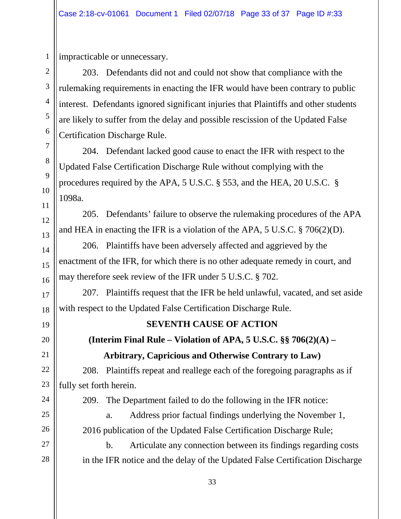impracticable or unnecessary.

203. Defendants did not and could not show that compliance with the rulemaking requirements in enacting the IFR would have been contrary to public interest. Defendants ignored significant injuries that Plaintiffs and other students are likely to suffer from the delay and possible rescission of the Updated False Certification Discharge Rule.

204. Defendant lacked good cause to enact the IFR with respect to the Updated False Certification Discharge Rule without complying with the procedures required by the APA, 5 U.S.C. § 553, and the HEA, 20 U.S.C. § 1098a.

205. Defendants' failure to observe the rulemaking procedures of the APA and HEA in enacting the IFR is a violation of the APA, 5 U.S.C. § 706(2)(D).

206. Plaintiffs have been adversely affected and aggrieved by the enactment of the IFR, for which there is no other adequate remedy in court, and may therefore seek review of the IFR under 5 U.S.C. § 702.

207. Plaintiffs request that the IFR be held unlawful, vacated, and set aside with respect to the Updated False Certification Discharge Rule.

### **SEVENTH CAUSE OF ACTION**

**(Interim Final Rule – Violation of APA, 5 U.S.C. §§ 706(2)(A) – Arbitrary, Capricious and Otherwise Contrary to Law)**

208. Plaintiffs repeat and reallege each of the foregoing paragraphs as if fully set forth herein.

209. The Department failed to do the following in the IFR notice:

a. Address prior factual findings underlying the November 1, 2016 publication of the Updated False Certification Discharge Rule;

b. Articulate any connection between its findings regarding costs in the IFR notice and the delay of the Updated False Certification Discharge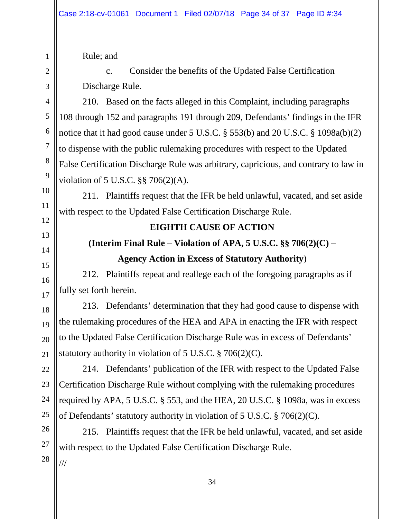Rule; and

1

2

3

4

5

6

7

8

9

10

11

12

13

14

15

16

17

18

19

c. Consider the benefits of the Updated False Certification Discharge Rule.

210. Based on the facts alleged in this Complaint, including paragraphs 108 through 152 and paragraphs 191 through 209, Defendants' findings in the IFR notice that it had good cause under 5 U.S.C. § 553(b) and 20 U.S.C. § 1098a(b)(2) to dispense with the public rulemaking procedures with respect to the Updated False Certification Discharge Rule was arbitrary, capricious, and contrary to law in violation of 5 U.S.C. §§ 706(2)(A).

211. Plaintiffs request that the IFR be held unlawful, vacated, and set aside with respect to the Updated False Certification Discharge Rule.

### **EIGHTH CAUSE OF ACTION**

**(Interim Final Rule – Violation of APA, 5 U.S.C. §§ 706(2)(C) –**

### **Agency Action in Excess of Statutory Authority**)

212. Plaintiffs repeat and reallege each of the foregoing paragraphs as if fully set forth herein.

213. Defendants' determination that they had good cause to dispense with the rulemaking procedures of the HEA and APA in enacting the IFR with respect to the Updated False Certification Discharge Rule was in excess of Defendants' statutory authority in violation of  $5 \text{ U.S.C.} \$   $\frac{3}{206(2)(C)}$ .

214. Defendants' publication of the IFR with respect to the Updated False Certification Discharge Rule without complying with the rulemaking procedures required by APA, 5 U.S.C. § 553, and the HEA, 20 U.S.C. § 1098a, was in excess of Defendants' statutory authority in violation of 5 U.S.C. § 706(2)(C).

215. Plaintiffs request that the IFR be held unlawful, vacated, and set aside with respect to the Updated False Certification Discharge Rule.

///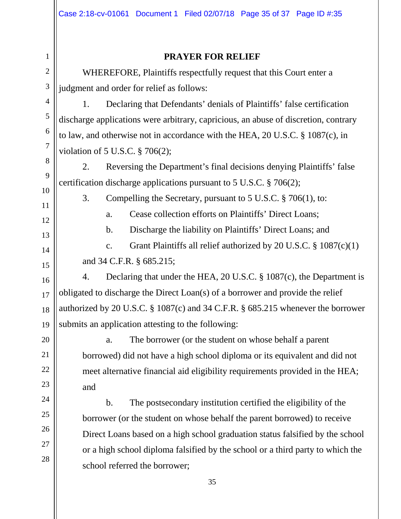# 1 2 3 4 5 6 7 8 9 10 11 12 13 14 15 16 17 18 19 20 21 22 23 24 25 26 27 28

### **PRAYER FOR RELIEF**

WHEREFORE, Plaintiffs respectfully request that this Court enter a judgment and order for relief as follows:

1. Declaring that Defendants' denials of Plaintiffs' false certification discharge applications were arbitrary, capricious, an abuse of discretion, contrary to law, and otherwise not in accordance with the HEA, 20 U.S.C. § 1087(c), in violation of 5 U.S.C. § 706(2);

2. Reversing the Department's final decisions denying Plaintiffs' false certification discharge applications pursuant to 5 U.S.C. § 706(2);

3. Compelling the Secretary, pursuant to 5 U.S.C. § 706(1), to:

a. Cease collection efforts on Plaintiffs' Direct Loans;

b. Discharge the liability on Plaintiffs' Direct Loans; and

c. Grant Plaintiffs all relief authorized by 20 U.S.C.  $\S$  1087(c)(1) and 34 C.F.R. § 685.215;

4. Declaring that under the HEA, 20 U.S.C. § 1087(c), the Department is obligated to discharge the Direct Loan(s) of a borrower and provide the relief authorized by 20 U.S.C. § 1087(c) and 34 C.F.R. § 685.215 whenever the borrower submits an application attesting to the following:

a. The borrower (or the student on whose behalf a parent borrowed) did not have a high school diploma or its equivalent and did not meet alternative financial aid eligibility requirements provided in the HEA; and

b. The postsecondary institution certified the eligibility of the borrower (or the student on whose behalf the parent borrowed) to receive Direct Loans based on a high school graduation status falsified by the school or a high school diploma falsified by the school or a third party to which the school referred the borrower;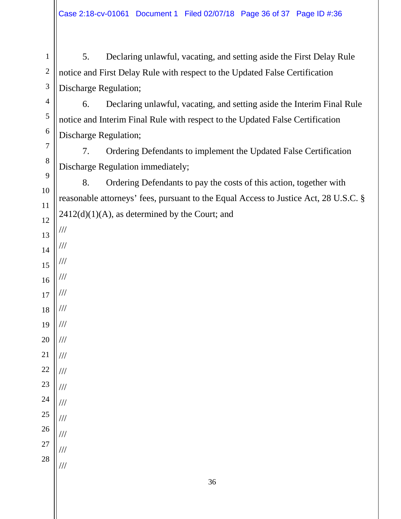5. Declaring unlawful, vacating, and setting aside the First Delay Rule notice and First Delay Rule with respect to the Updated False Certification Discharge Regulation;

6. Declaring unlawful, vacating, and setting aside the Interim Final Rule notice and Interim Final Rule with respect to the Updated False Certification Discharge Regulation;

7. Ordering Defendants to implement the Updated False Certification Discharge Regulation immediately;

8. Ordering Defendants to pay the costs of this action, together with reasonable attorneys' fees, pursuant to the Equal Access to Justice Act, 28 U.S.C. §  $2412(d)(1)(A)$ , as determined by the Court; and